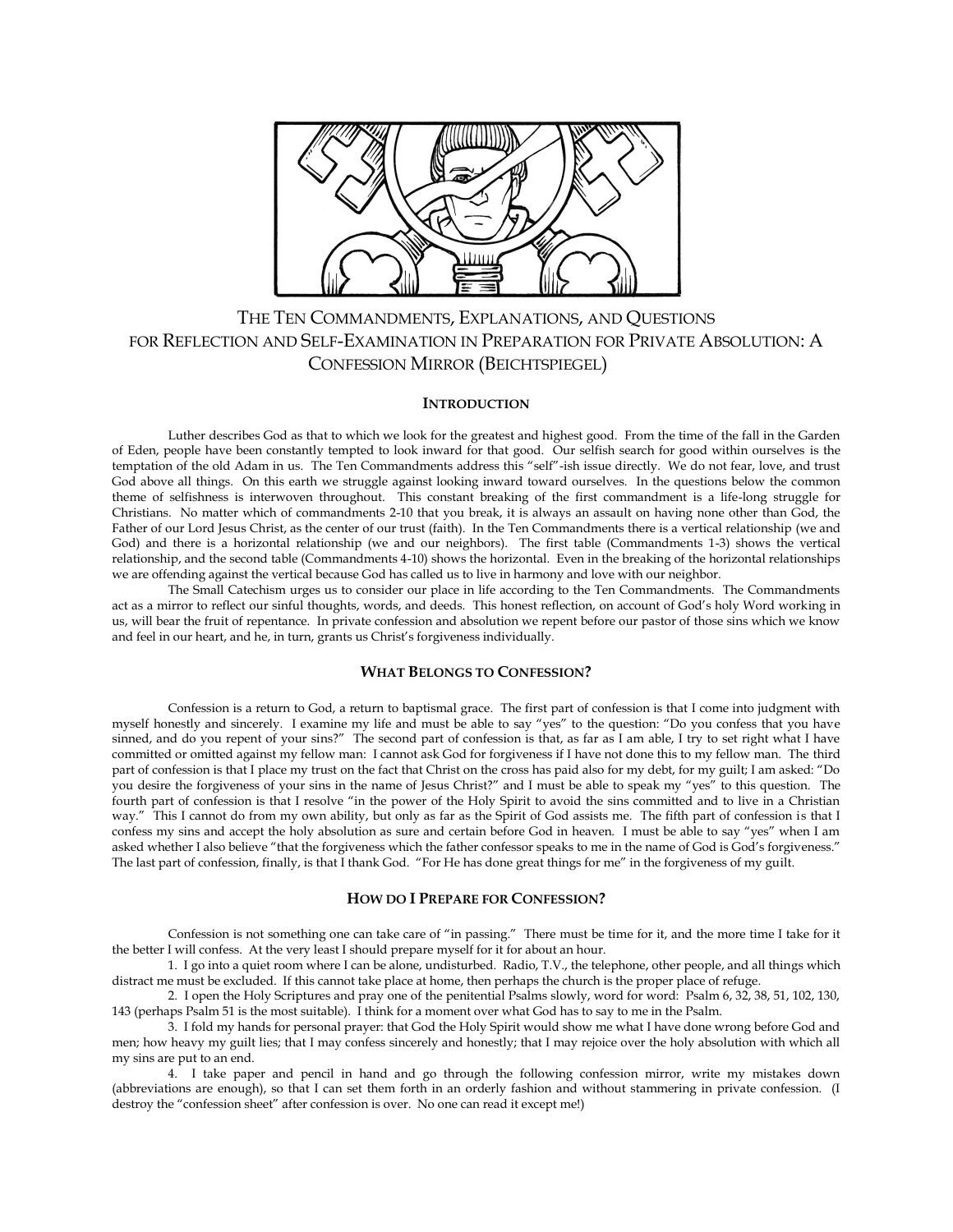

# THE TEN COMMANDMENTS, EXPLANATIONS, AND QUESTIONS FOR REFLECTION AND SELF-EXAMINATION IN PREPARATION FOR PRIVATE ABSOLUTION: A CONFESSION MIRROR (BEICHTSPIEGEL)

# **INTRODUCTION**

Luther describes God as that to which we look for the greatest and highest good. From the time of the fall in the Garden of Eden, people have been constantly tempted to look inward for that good. Our selfish search for good within ourselves is the temptation of the old Adam in us. The Ten Commandments address this "self"-ish issue directly. We do not fear, love, and trust God above all things. On this earth we struggle against looking inward toward ourselves. In the questions below the common theme of selfishness is interwoven throughout. This constant breaking of the first commandment is a life-long struggle for Christians. No matter which of commandments 2-10 that you break, it is always an assault on having none other than God, the Father of our Lord Jesus Christ, as the center of our trust (faith). In the Ten Commandments there is a vertical relationship (we and God) and there is a horizontal relationship (we and our neighbors). The first table (Commandments 1-3) shows the vertical relationship, and the second table (Commandments 4-10) shows the horizontal. Even in the breaking of the horizontal relationships we are offending against the vertical because God has called us to live in harmony and love with our neighbor.

The Small Catechism urges us to consider our place in life according to the Ten Commandments. The Commandments act as a mirror to reflect our sinful thoughts, words, and deeds. This honest reflection, on account of God's holy Word working in us, will bear the fruit of repentance. In private confession and absolution we repent before our pastor of those sins which we know and feel in our heart, and he, in turn, grants us Christ's forgiveness individually.

#### **WHAT BELONGS TO CONFESSION?**

Confession is a return to God, a return to baptismal grace. The first part of confession is that I come into judgment with myself honestly and sincerely. I examine my life and must be able to say "yes" to the question: "Do you confess that you have sinned, and do you repent of your sins?" The second part of confession is that, as far as I am able, I try to set right what I have committed or omitted against my fellow man: I cannot ask God for forgiveness if I have not done this to my fellow man. The third part of confession is that I place my trust on the fact that Christ on the cross has paid also for my debt, for my guilt; I am asked: "Do you desire the forgiveness of your sins in the name of Jesus Christ?" and I must be able to speak my "yes" to this question. The fourth part of confession is that I resolve "in the power of the Holy Spirit to avoid the sins committed and to live in a Christian way." This I cannot do from my own ability, but only as far as the Spirit of God assists me. The fifth part of confession is that I confess my sins and accept the holy absolution as sure and certain before God in heaven. I must be able to say "yes" when I am asked whether I also believe "that the forgiveness which the father confessor speaks to me in the name of God is God's forgiveness." The last part of confession, finally, is that I thank God. "For He has done great things for me" in the forgiveness of my guilt.

#### **HOW DO I PREPARE FOR CONFESSION?**

Confession is not something one can take care of "in passing." There must be time for it, and the more time I take for it the better I will confess. At the very least I should prepare myself for it for about an hour.

1. I go into a quiet room where I can be alone, undisturbed. Radio, T.V., the telephone, other people, and all things which distract me must be excluded. If this cannot take place at home, then perhaps the church is the proper place of refuge.

2. I open the Holy Scriptures and pray one of the penitential Psalms slowly, word for word: Psalm 6, 32, 38, 51, 102, 130, 143 (perhaps Psalm 51 is the most suitable). I think for a moment over what God has to say to me in the Psalm.

3. I fold my hands for personal prayer: that God the Holy Spirit would show me what I have done wrong before God and men; how heavy my guilt lies; that I may confess sincerely and honestly; that I may rejoice over the holy absolution with which all my sins are put to an end.

4. I take paper and pencil in hand and go through the following confession mirror, write my mistakes down (abbreviations are enough), so that I can set them forth in an orderly fashion and without stammering in private confession. (I destroy the "confession sheet" after confession is over. No one can read it except me!)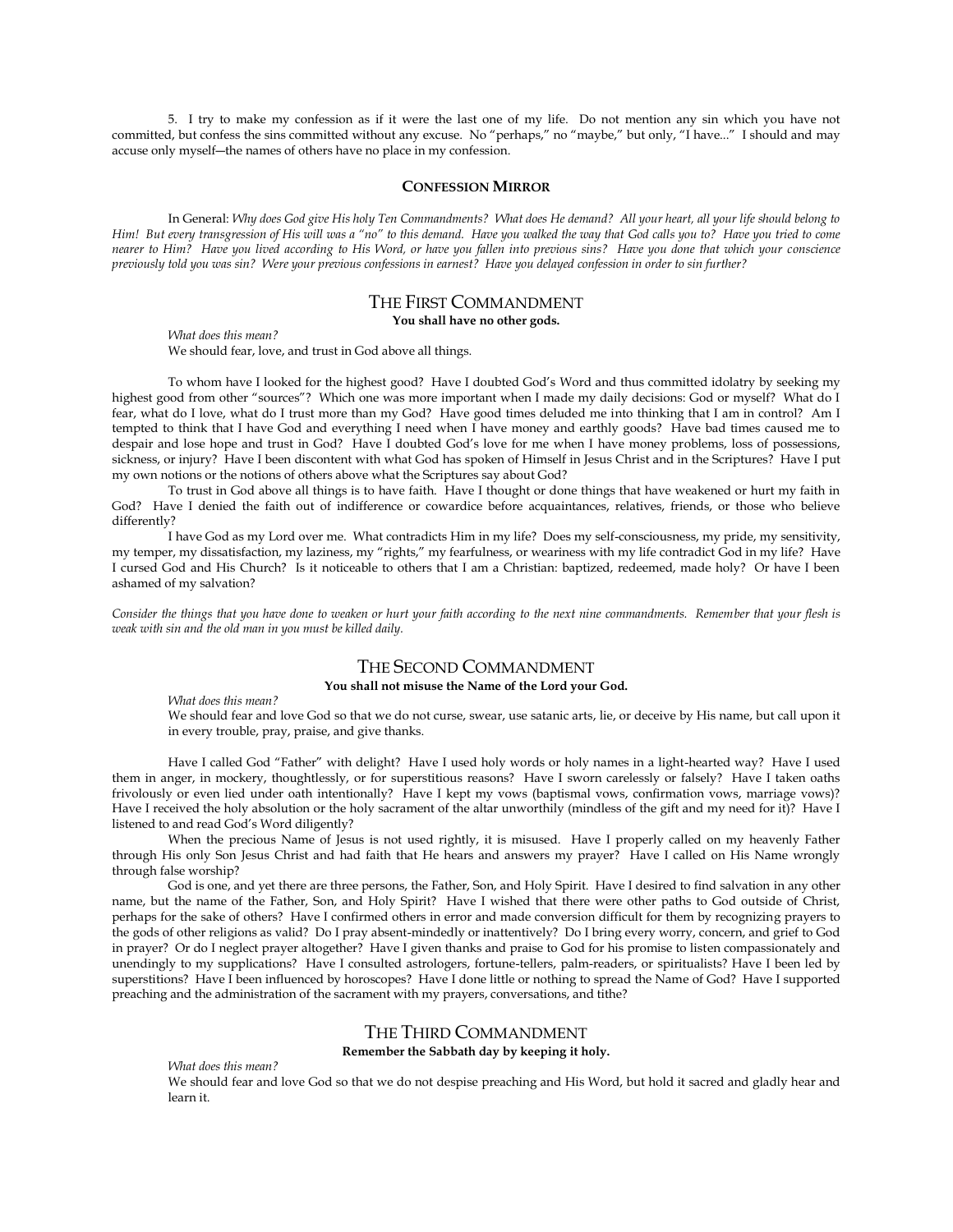5. I try to make my confession as if it were the last one of my life. Do not mention any sin which you have not committed, but confess the sins committed without any excuse. No "perhaps," no "maybe," but only, "I have..." I should and may accuse only myself―the names of others have no place in my confession.

#### **CONFESSION MIRROR**

In General: *Why does God give His holy Ten Commandments? What does He demand? All your heart, all your life should belong to Him! But every transgression of His will was a "no" to this demand. Have you walked the way that God calls you to? Have you tried to come nearer to Him? Have you lived according to His Word, or have you fallen into previous sins? Have you done that which your conscience previously told you was sin? Were your previous confessions in earnest? Have you delayed confession in order to sin further?*

# THE FIRST COMMANDMENT

### **You shall have no other gods.**

*What does this mean?* We should fear, love, and trust in God above all things.

To whom have I looked for the highest good? Have I doubted God's Word and thus committed idolatry by seeking my highest good from other "sources"? Which one was more important when I made my daily decisions: God or myself? What do I fear, what do I love, what do I trust more than my God? Have good times deluded me into thinking that I am in control? Am I tempted to think that I have God and everything I need when I have money and earthly goods? Have bad times caused me to despair and lose hope and trust in God? Have I doubted God's love for me when I have money problems, loss of possessions, sickness, or injury? Have I been discontent with what God has spoken of Himself in Jesus Christ and in the Scriptures? Have I put my own notions or the notions of others above what the Scriptures say about God?

To trust in God above all things is to have faith. Have I thought or done things that have weakened or hurt my faith in God? Have I denied the faith out of indifference or cowardice before acquaintances, relatives, friends, or those who believe differently?

I have God as my Lord over me. What contradicts Him in my life? Does my self-consciousness, my pride, my sensitivity, my temper, my dissatisfaction, my laziness, my "rights," my fearfulness, or weariness with my life contradict God in my life? Have I cursed God and His Church? Is it noticeable to others that I am a Christian: baptized, redeemed, made holy? Or have I been ashamed of my salvation?

*Consider the things that you have done to weaken or hurt your faith according to the next nine commandments. Remember that your flesh is weak with sin and the old man in you must be killed daily.*

# THE SECOND COMMANDMENT

**You shall not misuse the Name of the Lord your God.**

*What does this mean?*

We should fear and love God so that we do not curse, swear, use satanic arts, lie, or deceive by His name, but call upon it in every trouble, pray, praise, and give thanks.

Have I called God "Father" with delight? Have I used holy words or holy names in a light-hearted way? Have I used them in anger, in mockery, thoughtlessly, or for superstitious reasons? Have I sworn carelessly or falsely? Have I taken oaths frivolously or even lied under oath intentionally? Have I kept my vows (baptismal vows, confirmation vows, marriage vows)? Have I received the holy absolution or the holy sacrament of the altar unworthily (mindless of the gift and my need for it)? Have I listened to and read God's Word diligently?

When the precious Name of Jesus is not used rightly, it is misused. Have I properly called on my heavenly Father through His only Son Jesus Christ and had faith that He hears and answers my prayer? Have I called on His Name wrongly through false worship?

God is one, and yet there are three persons, the Father, Son, and Holy Spirit. Have I desired to find salvation in any other name, but the name of the Father, Son, and Holy Spirit? Have I wished that there were other paths to God outside of Christ, perhaps for the sake of others? Have I confirmed others in error and made conversion difficult for them by recognizing prayers to the gods of other religions as valid? Do I pray absent-mindedly or inattentively? Do I bring every worry, concern, and grief to God in prayer? Or do I neglect prayer altogether? Have I given thanks and praise to God for his promise to listen compassionately and unendingly to my supplications? Have I consulted astrologers, fortune-tellers, palm-readers, or spiritualists? Have I been led by superstitions? Have I been influenced by horoscopes? Have I done little or nothing to spread the Name of God? Have I supported preaching and the administration of the sacrament with my prayers, conversations, and tithe?

# THE THIRD COMMANDMENT

**Remember the Sabbath day by keeping it holy.**

*What does this mean?*

We should fear and love God so that we do not despise preaching and His Word, but hold it sacred and gladly hear and learn it.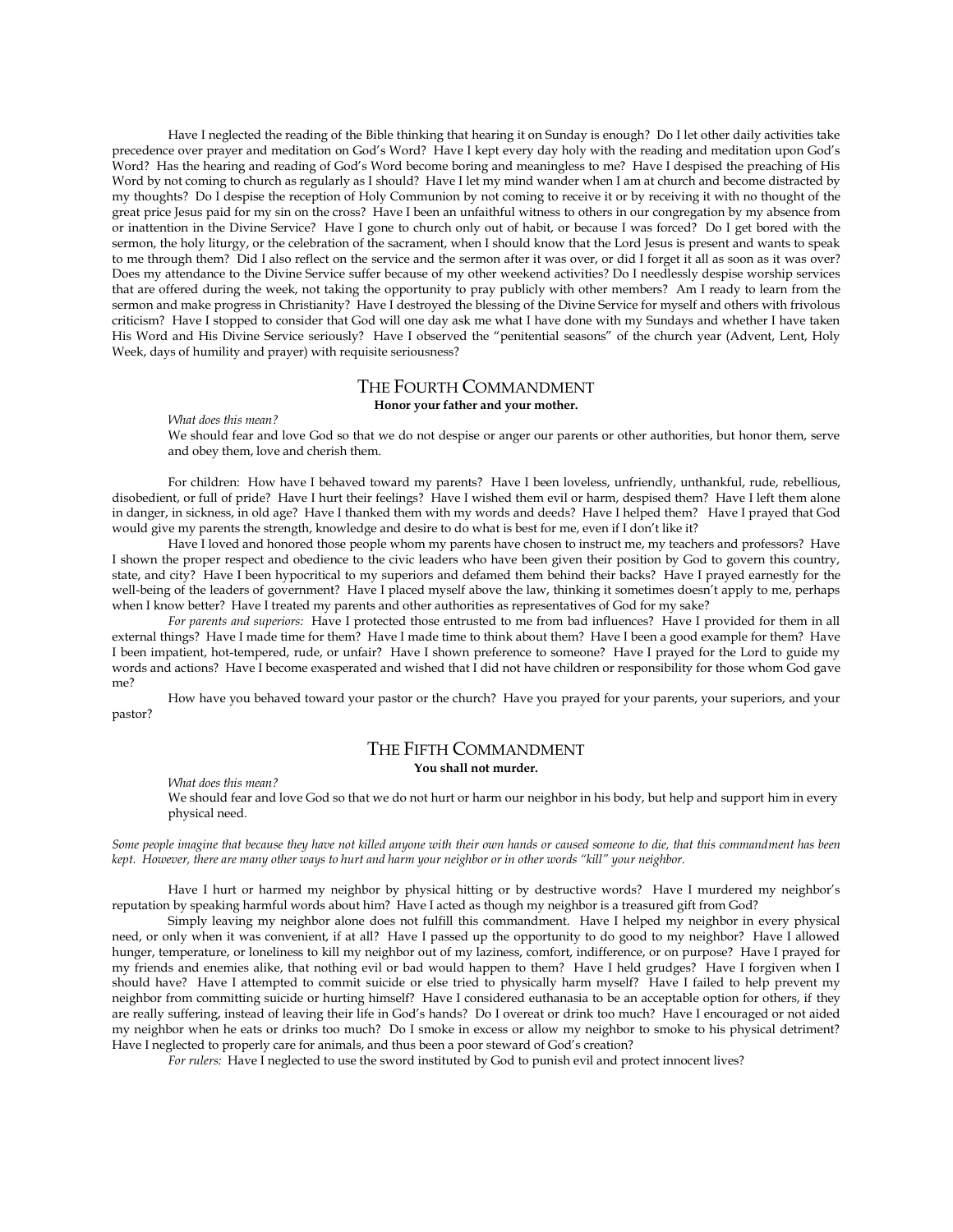Have I neglected the reading of the Bible thinking that hearing it on Sunday is enough? Do I let other daily activities take precedence over prayer and meditation on God's Word? Have I kept every day holy with the reading and meditation upon God's Word? Has the hearing and reading of God's Word become boring and meaningless to me? Have I despised the preaching of His Word by not coming to church as regularly as I should? Have I let my mind wander when I am at church and become distracted by my thoughts? Do I despise the reception of Holy Communion by not coming to receive it or by receiving it with no thought of the great price Jesus paid for my sin on the cross? Have I been an unfaithful witness to others in our congregation by my absence from or inattention in the Divine Service? Have I gone to church only out of habit, or because I was forced? Do I get bored with the sermon, the holy liturgy, or the celebration of the sacrament, when I should know that the Lord Jesus is present and wants to speak to me through them? Did I also reflect on the service and the sermon after it was over, or did I forget it all as soon as it was over? Does my attendance to the Divine Service suffer because of my other weekend activities? Do I needlessly despise worship services that are offered during the week, not taking the opportunity to pray publicly with other members? Am I ready to learn from the sermon and make progress in Christianity? Have I destroyed the blessing of the Divine Service for myself and others with frivolous criticism? Have I stopped to consider that God will one day ask me what I have done with my Sundays and whether I have taken His Word and His Divine Service seriously? Have I observed the "penitential seasons" of the church year (Advent, Lent, Holy Week, days of humility and prayer) with requisite seriousness?

### THE FOURTH COMMANDMENT **Honor your father and your mother.**

*What does this mean?*

We should fear and love God so that we do not despise or anger our parents or other authorities, but honor them, serve and obey them, love and cherish them.

For children: How have I behaved toward my parents? Have I been loveless, unfriendly, unthankful, rude, rebellious, disobedient, or full of pride? Have I hurt their feelings? Have I wished them evil or harm, despised them? Have I left them alone in danger, in sickness, in old age? Have I thanked them with my words and deeds? Have I helped them? Have I prayed that God would give my parents the strength, knowledge and desire to do what is best for me, even if I don't like it?

Have I loved and honored those people whom my parents have chosen to instruct me, my teachers and professors? Have I shown the proper respect and obedience to the civic leaders who have been given their position by God to govern this country, state, and city? Have I been hypocritical to my superiors and defamed them behind their backs? Have I prayed earnestly for the well-being of the leaders of government? Have I placed myself above the law, thinking it sometimes doesn't apply to me, perhaps when I know better? Have I treated my parents and other authorities as representatives of God for my sake?

*For parents and superiors:* Have I protected those entrusted to me from bad influences? Have I provided for them in all external things? Have I made time for them? Have I made time to think about them? Have I been a good example for them? Have I been impatient, hot-tempered, rude, or unfair? Have I shown preference to someone? Have I prayed for the Lord to guide my words and actions? Have I become exasperated and wished that I did not have children or responsibility for those whom God gave me?

How have you behaved toward your pastor or the church? Have you prayed for your parents, your superiors, and your pastor?

# THE FIFTH COMMANDMENT

**You shall not murder.**

*What does this mean?*

We should fear and love God so that we do not hurt or harm our neighbor in his body, but help and support him in every physical need.

*Some people imagine that because they have not killed anyone with their own hands or caused someone to die, that this commandment has been kept. However, there are many other ways to hurt and harm your neighbor or in other words "kill" your neighbor.* 

Have I hurt or harmed my neighbor by physical hitting or by destructive words? Have I murdered my neighbor's reputation by speaking harmful words about him? Have I acted as though my neighbor is a treasured gift from God?

Simply leaving my neighbor alone does not fulfill this commandment. Have I helped my neighbor in every physical need, or only when it was convenient, if at all? Have I passed up the opportunity to do good to my neighbor? Have I allowed hunger, temperature, or loneliness to kill my neighbor out of my laziness, comfort, indifference, or on purpose? Have I prayed for my friends and enemies alike, that nothing evil or bad would happen to them? Have I held grudges? Have I forgiven when I should have? Have I attempted to commit suicide or else tried to physically harm myself? Have I failed to help prevent my neighbor from committing suicide or hurting himself? Have I considered euthanasia to be an acceptable option for others, if they are really suffering, instead of leaving their life in God's hands? Do I overeat or drink too much? Have I encouraged or not aided my neighbor when he eats or drinks too much? Do I smoke in excess or allow my neighbor to smoke to his physical detriment? Have I neglected to properly care for animals, and thus been a poor steward of God's creation?

*For rulers:* Have I neglected to use the sword instituted by God to punish evil and protect innocent lives?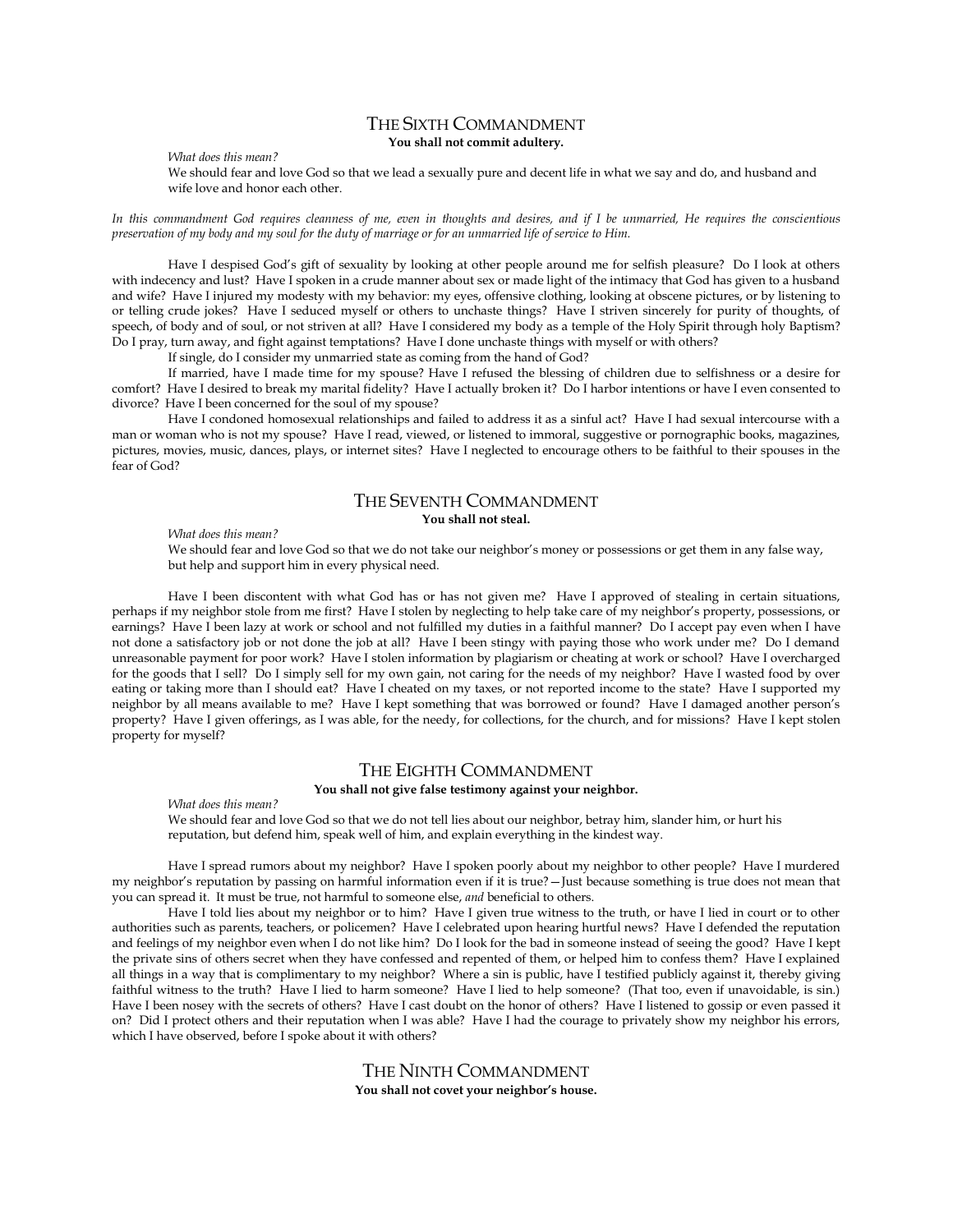### THE SIXTH COMMANDMENT **You shall not commit adultery.**

*What does this mean?*

We should fear and love God so that we lead a sexually pure and decent life in what we say and do, and husband and wife love and honor each other.

*In this commandment God requires cleanness of me, even in thoughts and desires, and if I be unmarried, He requires the conscientious preservation of my body and my soul for the duty of marriage or for an unmarried life of service to Him.*

Have I despised God's gift of sexuality by looking at other people around me for selfish pleasure? Do I look at others with indecency and lust? Have I spoken in a crude manner about sex or made light of the intimacy that God has given to a husband and wife? Have I injured my modesty with my behavior: my eyes, offensive clothing, looking at obscene pictures, or by listening to or telling crude jokes? Have I seduced myself or others to unchaste things? Have I striven sincerely for purity of thoughts, of speech, of body and of soul, or not striven at all? Have I considered my body as a temple of the Holy Spirit through holy Baptism? Do I pray, turn away, and fight against temptations? Have I done unchaste things with myself or with others?

If single, do I consider my unmarried state as coming from the hand of God?

If married, have I made time for my spouse? Have I refused the blessing of children due to selfishness or a desire for comfort? Have I desired to break my marital fidelity? Have I actually broken it? Do I harbor intentions or have I even consented to divorce? Have I been concerned for the soul of my spouse?

Have I condoned homosexual relationships and failed to address it as a sinful act? Have I had sexual intercourse with a man or woman who is not my spouse? Have I read, viewed, or listened to immoral, suggestive or pornographic books, magazines, pictures, movies, music, dances, plays, or internet sites? Have I neglected to encourage others to be faithful to their spouses in the fear of God?

## THE SEVENTH COMMANDMENT **You shall not steal.**

*What does this mean?*

We should fear and love God so that we do not take our neighbor's money or possessions or get them in any false way, but help and support him in every physical need.

Have I been discontent with what God has or has not given me? Have I approved of stealing in certain situations, perhaps if my neighbor stole from me first? Have I stolen by neglecting to help take care of my neighbor's property, possessions, or earnings? Have I been lazy at work or school and not fulfilled my duties in a faithful manner? Do I accept pay even when I have not done a satisfactory job or not done the job at all? Have I been stingy with paying those who work under me? Do I demand unreasonable payment for poor work? Have I stolen information by plagiarism or cheating at work or school? Have I overcharged for the goods that I sell? Do I simply sell for my own gain, not caring for the needs of my neighbor? Have I wasted food by over eating or taking more than I should eat? Have I cheated on my taxes, or not reported income to the state? Have I supported my neighbor by all means available to me? Have I kept something that was borrowed or found? Have I damaged another person's property? Have I given offerings, as I was able, for the needy, for collections, for the church, and for missions? Have I kept stolen property for myself?

# THE EIGHTH COMMANDMENT

### **You shall not give false testimony against your neighbor.**

*What does this mean?*

We should fear and love God so that we do not tell lies about our neighbor, betray him, slander him, or hurt his reputation, but defend him, speak well of him, and explain everything in the kindest way.

Have I spread rumors about my neighbor? Have I spoken poorly about my neighbor to other people? Have I murdered my neighbor's reputation by passing on harmful information even if it is true?—Just because something is true does not mean that you can spread it. It must be true, not harmful to someone else, *and* beneficial to others.

Have I told lies about my neighbor or to him? Have I given true witness to the truth, or have I lied in court or to other authorities such as parents, teachers, or policemen? Have I celebrated upon hearing hurtful news? Have I defended the reputation and feelings of my neighbor even when I do not like him? Do I look for the bad in someone instead of seeing the good? Have I kept the private sins of others secret when they have confessed and repented of them, or helped him to confess them? Have I explained all things in a way that is complimentary to my neighbor? Where a sin is public, have I testified publicly against it, thereby giving faithful witness to the truth? Have I lied to harm someone? Have I lied to help someone? (That too, even if unavoidable, is sin.) Have I been nosey with the secrets of others? Have I cast doubt on the honor of others? Have I listened to gossip or even passed it on? Did I protect others and their reputation when I was able? Have I had the courage to privately show my neighbor his errors, which I have observed, before I spoke about it with others?

> THE NINTH COMMANDMENT **You shall not covet your neighbor's house.**